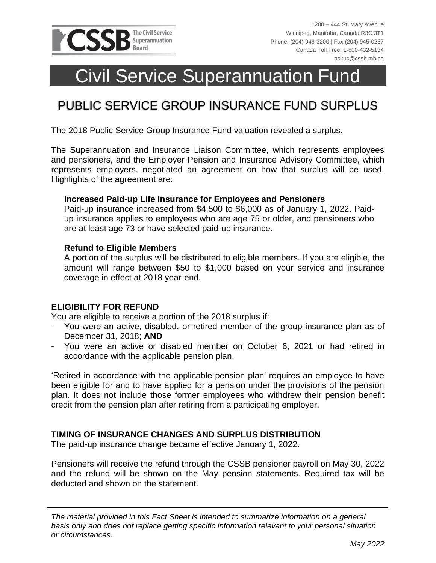

# Civil Service Superannuation Fund

# PUBLIC SERVICE GROUP INSURANCE FUND SURPLUS

The 2018 Public Service Group Insurance Fund valuation revealed a surplus.

The Superannuation and Insurance Liaison Committee, which represents employees and pensioners, and the Employer Pension and Insurance Advisory Committee, which represents employers, negotiated an agreement on how that surplus will be used. Highlights of the agreement are:

#### **Increased Paid-up Life Insurance for Employees and Pensioners**

Paid-up insurance increased from \$4,500 to \$6,000 as of January 1, 2022. Paidup insurance applies to employees who are age 75 or older, and pensioners who are at least age 73 or have selected paid-up insurance.

#### **Refund to Eligible Members**

A portion of the surplus will be distributed to eligible members. If you are eligible, the amount will range between \$50 to \$1,000 based on your service and insurance coverage in effect at 2018 year-end.

#### **ELIGIBILITY FOR REFUND**

You are eligible to receive a portion of the 2018 surplus if:

- You were an active, disabled, or retired member of the group insurance plan as of December 31, 2018; **AND**
- You were an active or disabled member on October 6, 2021 or had retired in accordance with the applicable pension plan.

'Retired in accordance with the applicable pension plan' requires an employee to have been eligible for and to have applied for a pension under the provisions of the pension plan. It does not include those former employees who withdrew their pension benefit credit from the pension plan after retiring from a participating employer.

#### **TIMING OF INSURANCE CHANGES AND SURPLUS DISTRIBUTION**

The paid-up insurance change became effective January 1, 2022.

Pensioners will receive the refund through the CSSB pensioner payroll on May 30, 2022 and the refund will be shown on the May pension statements. Required tax will be deducted and shown on the statement.